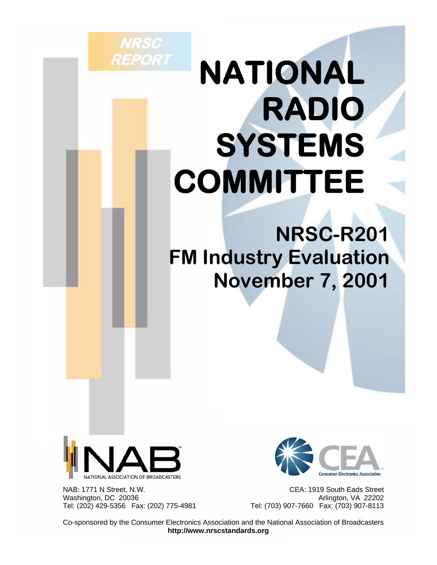# **NATIONAL RADIO SYSTEMS COMMITTEE**

## **NRSC-R201 FM Industry Evaluation November 7, 2001**



**NRSC** 

**REPORT** 

Washington, DC 20036<br>Tel: (202) 429-5356 Fax: (202) 775-4981 <br>Tel: (703) 907-7660 Fax: (703) 907-8113



 NAB: 1771 N Street, N.W. CEA: 1919 South Eads Street Tel: (703) 907-7660 Fax: (703) 907-8113

 Co-sponsored by the Consumer Electronics Association and the National Association of Broadcasters **http://www.nrscstandards.org**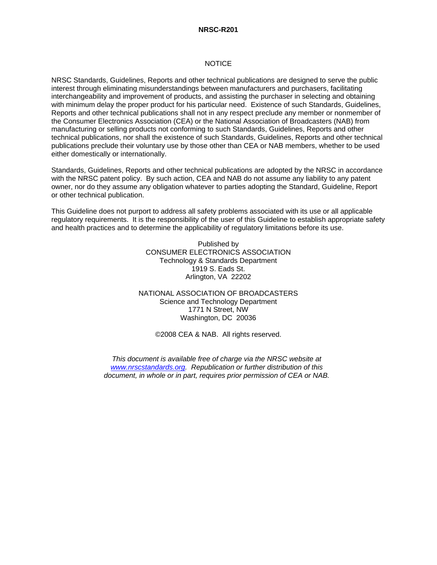#### **NRSC-R201**

#### **NOTICE**

NRSC Standards, Guidelines, Reports and other technical publications are designed to serve the public interest through eliminating misunderstandings between manufacturers and purchasers, facilitating interchangeability and improvement of products, and assisting the purchaser in selecting and obtaining with minimum delay the proper product for his particular need. Existence of such Standards, Guidelines, Reports and other technical publications shall not in any respect preclude any member or nonmember of the Consumer Electronics Association (CEA) or the National Association of Broadcasters (NAB) from manufacturing or selling products not conforming to such Standards, Guidelines, Reports and other technical publications, nor shall the existence of such Standards, Guidelines, Reports and other technical publications preclude their voluntary use by those other than CEA or NAB members, whether to be used either domestically or internationally.

Standards, Guidelines, Reports and other technical publications are adopted by the NRSC in accordance with the NRSC patent policy. By such action, CEA and NAB do not assume any liability to any patent owner, nor do they assume any obligation whatever to parties adopting the Standard, Guideline, Report or other technical publication.

This Guideline does not purport to address all safety problems associated with its use or all applicable regulatory requirements. It is the responsibility of the user of this Guideline to establish appropriate safety and health practices and to determine the applicability of regulatory limitations before its use.

> Published by CONSUMER ELECTRONICS ASSOCIATION Technology & Standards Department 1919 S. Eads St. Arlington, VA 22202

NATIONAL ASSOCIATION OF BROADCASTERS Science and Technology Department 1771 N Street, NW Washington, DC 20036

©2008 CEA & NAB. All rights reserved.

*This document is available free of charge via the NRSC website at www.nrscstandards.org. Republication or further distribution of this document, in whole or in part, requires prior permission of CEA or NAB.*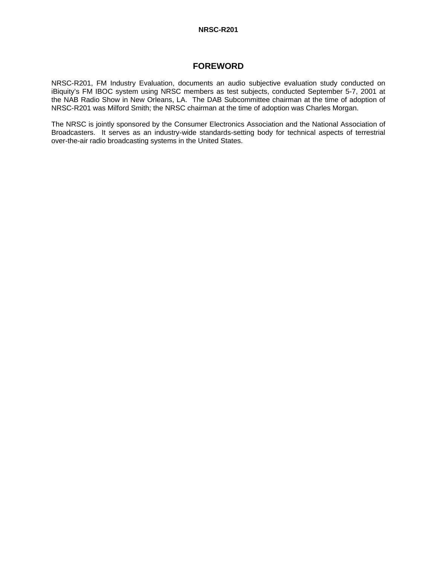#### **NRSC-R201**

#### **FOREWORD**

NRSC-R201, FM Industry Evaluation, documents an audio subjective evaluation study conducted on iBiquity's FM IBOC system using NRSC members as test subjects, conducted September 5-7, 2001 at the NAB Radio Show in New Orleans, LA. The DAB Subcommittee chairman at the time of adoption of NRSC-R201 was Milford Smith; the NRSC chairman at the time of adoption was Charles Morgan.

The NRSC is jointly sponsored by the Consumer Electronics Association and the National Association of Broadcasters. It serves as an industry-wide standards-setting body for technical aspects of terrestrial over-the-air radio broadcasting systems in the United States.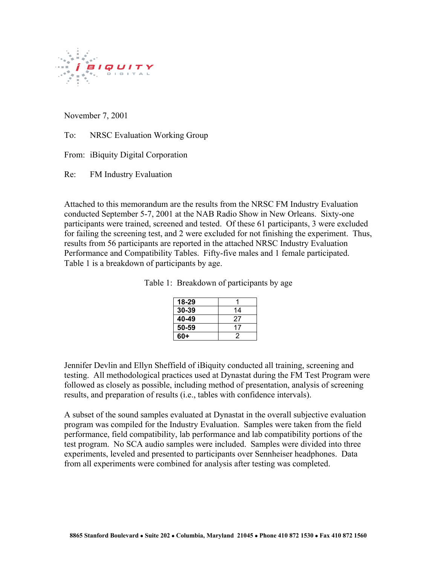

November 7, 2001

To: NRSC Evaluation Working Group

From: iBiquity Digital Corporation

Re: FM Industry Evaluation

Attached to this memorandum are the results from the NRSC FM Industry Evaluation conducted September 5-7, 2001 at the NAB Radio Show in New Orleans. Sixty-one participants were trained, screened and tested. Of these 61 participants, 3 were excluded for failing the screening test, and 2 were excluded for not finishing the experiment. Thus, results from 56 participants are reported in the attached NRSC Industry Evaluation Performance and Compatibility Tables. Fifty-five males and 1 female participated. Table 1 is a breakdown of participants by age.

| 18-29     |    |
|-----------|----|
| $30 - 39$ | 14 |
| 40-49     | 27 |
| 50-59     | 17 |
| $60+$     |    |

Table 1: Breakdown of participants by age

Jennifer Devlin and Ellyn Sheffield of iBiquity conducted all training, screening and testing. All methodological practices used at Dynastat during the FM Test Program were followed as closely as possible, including method of presentation, analysis of screening results, and preparation of results (i.e., tables with confidence intervals).

A subset of the sound samples evaluated at Dynastat in the overall subjective evaluation program was compiled for the Industry Evaluation. Samples were taken from the field performance, field compatibility, lab performance and lab compatibility portions of the test program. No SCA audio samples were included. Samples were divided into three experiments, leveled and presented to participants over Sennheiser headphones. Data from all experiments were combined for analysis after testing was completed.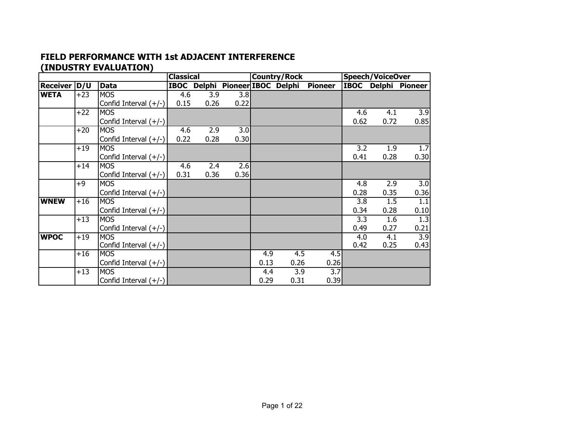#### **FIELD PERFORMANCE WITH 1st ADJACENT INTERFERENCE (INDUSTRY EVALUATION)**

|                |       |                         | <b>Classical</b> |      |                                 |      | <b>Country/Rock</b> |                |             | <b>Speech/VoiceOver</b> |                  |
|----------------|-------|-------------------------|------------------|------|---------------------------------|------|---------------------|----------------|-------------|-------------------------|------------------|
| Receiver   D/U |       | <b>Data</b>             |                  |      | IBOC Delphi Pioneer IBOC Delphi |      |                     | <b>Pioneer</b> | <b>IBOC</b> |                         | Delphi Pioneer   |
| <b>WETA</b>    | $+23$ | <b>MOS</b>              | 4.6              | 3.9  | 3.8                             |      |                     |                |             |                         |                  |
|                |       | Confid Interval (+/-)   | 0.15             | 0.26 | 0.22                            |      |                     |                |             |                         |                  |
|                | $+22$ | <b>MOS</b>              |                  |      |                                 |      |                     |                | 4.6         | 4.1                     | $\overline{3.9}$ |
|                |       | Confid Interval $(+/-)$ |                  |      |                                 |      |                     |                | 0.62        | 0.72                    | 0.85             |
|                | $+20$ | <b>MOS</b>              | 4.6              | 2.9  | 3.0                             |      |                     |                |             |                         |                  |
|                |       | Confid Interval $(+/-)$ | 0.22             | 0.28 | 0.30                            |      |                     |                |             |                         |                  |
|                | $+19$ | <b>MOS</b>              |                  |      |                                 |      |                     |                | 3.2         | 1.9                     | 1.7              |
|                |       | Confid Interval $(+/-)$ |                  |      |                                 |      |                     |                | 0.41        | 0.28                    | 0.30             |
|                | $+14$ | <b>MOS</b>              | 4.6              | 2.4  | 2.6                             |      |                     |                |             |                         |                  |
|                |       | Confid Interval $(+/-)$ | 0.31             | 0.36 | 0.36                            |      |                     |                |             |                         |                  |
|                | $+9$  | <b>MOS</b>              |                  |      |                                 |      |                     |                | 4.8         | 2.9                     | 3.0              |
|                |       | Confid Interval $(+/-)$ |                  |      |                                 |      |                     |                | 0.28        | 0.35                    | 0.36             |
| <b>WNEW</b>    | $+16$ | <b>MOS</b>              |                  |      |                                 |      |                     |                | 3.8         | 1.5                     | 1.1              |
|                |       | Confid Interval $(+/-)$ |                  |      |                                 |      |                     |                | 0.34        | 0.28                    | 0.10             |
|                | $+13$ | <b>MOS</b>              |                  |      |                                 |      |                     |                | 3.3         | 1.6                     | 1.3              |
|                |       | Confid Interval (+/-)   |                  |      |                                 |      |                     |                | 0.49        | 0.27                    | 0.21             |
| <b>WPOC</b>    | $+19$ | <b>MOS</b>              |                  |      |                                 |      |                     |                | 4.0         | 4.1                     | $\overline{3.9}$ |
|                |       | Confid Interval $(+/-)$ |                  |      |                                 |      |                     |                | 0.42        | 0.25                    | 0.43             |
|                | $+16$ | <b>MOS</b>              |                  |      |                                 | 4.9  | $\overline{4.5}$    | 4.5            |             |                         |                  |
|                |       | Confid Interval (+/-)   |                  |      |                                 | 0.13 | 0.26                | 0.26           |             |                         |                  |
|                | $+13$ | <b>MOS</b>              |                  |      |                                 | 4.4  | 3.9                 | 3.7            |             |                         |                  |
|                |       | Confid Interval $(+/-)$ |                  |      |                                 | 0.29 | 0.31                | 0.39           |             |                         |                  |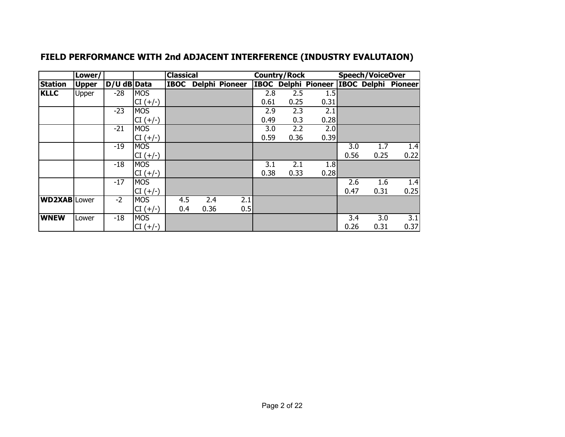|                     | Lower/       |             |            | <b>Classical</b> |      |                       |      | <b>Country/Rock</b> |      |      | <b>Speech/VoiceOver</b> |                                         |
|---------------------|--------------|-------------|------------|------------------|------|-----------------------|------|---------------------|------|------|-------------------------|-----------------------------------------|
| <b>Station</b>      | <b>Upper</b> | D/U dB Data |            | <b>IBOC</b>      |      | <b>Delphi Pioneer</b> |      |                     |      |      |                         | IBOC Delphi Pioneer IBOC Delphi Pioneer |
| <b>KLLC</b>         | Upper        | $-28$       | <b>MOS</b> |                  |      |                       | 2.8  | 2.5                 | 1.5  |      |                         |                                         |
|                     |              |             | $CI (+/-)$ |                  |      |                       | 0.61 | 0.25                | 0.31 |      |                         |                                         |
|                     |              | $-23$       | <b>MOS</b> |                  |      |                       | 2.9  | 2.3                 | 2.1  |      |                         |                                         |
|                     |              |             | $CI (+/-)$ |                  |      |                       | 0.49 | 0.3                 | 0.28 |      |                         |                                         |
|                     |              | $-21$       | <b>MOS</b> |                  |      |                       | 3.0  | 2.2                 | 2.0  |      |                         |                                         |
|                     |              |             | $CI (+/-)$ |                  |      |                       | 0.59 | 0.36                | 0.39 |      |                         |                                         |
|                     |              | $-19$       | <b>MOS</b> |                  |      |                       |      |                     |      | 3.0  | 1.7                     | 1.4                                     |
|                     |              |             | $CI (+/-)$ |                  |      |                       |      |                     |      | 0.56 | 0.25                    | 0.22                                    |
|                     |              | $-18$       | <b>MOS</b> |                  |      |                       | 3.1  | 2.1                 | 1.8  |      |                         |                                         |
|                     |              |             | $CI (+/-)$ |                  |      |                       | 0.38 | 0.33                | 0.28 |      |                         |                                         |
|                     |              | $-17$       | <b>MOS</b> |                  |      |                       |      |                     |      | 2.6  | 1.6                     | 1.4                                     |
|                     |              |             | $CI (+/-)$ |                  |      |                       |      |                     |      | 0.47 | 0.31                    | 0.25                                    |
| <b>WD2XAB</b> Lower |              | $-2$        | <b>MOS</b> | 4.5              | 2.4  | 2.1                   |      |                     |      |      |                         |                                         |
|                     |              |             | $CI (+/-)$ | 0.4              | 0.36 | 0.5                   |      |                     |      |      |                         |                                         |
| <b>WNEW</b>         | Lower        | $-18$       | <b>MOS</b> |                  |      |                       |      |                     |      | 3.4  | 3.0                     | 3.1                                     |
|                     |              |             | $CI (+/-)$ |                  |      |                       |      |                     |      | 0.26 | 0.31                    | 0.37                                    |

## **FIELD PERFORMANCE WITH 2nd ADJACENT INTERFERENCE (INDUSTRY EVALUTAION)**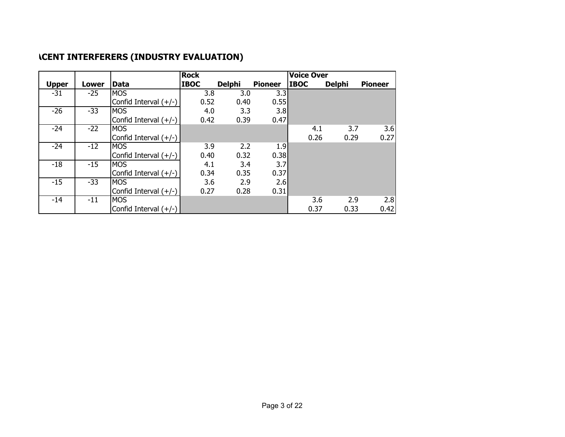|              |       |                         | <b>Rock</b> |               |                | <b>Voice Over</b> |               |                |
|--------------|-------|-------------------------|-------------|---------------|----------------|-------------------|---------------|----------------|
| <b>Upper</b> | Lower | Data                    | <b>IBOC</b> | <b>Delphi</b> | <b>Pioneer</b> | <b>IBOC</b>       | <b>Delphi</b> | <b>Pioneer</b> |
| $-31$        | $-25$ | <b>IMOS</b>             | 3.8         | 3.0           | 3.3            |                   |               |                |
|              |       | Confid Interval $(+/-)$ | 0.52        | 0.40          | 0.55           |                   |               |                |
| $-26$        | $-33$ | <b>MOS</b>              | 4.0         | 3.3           | 3.8            |                   |               |                |
|              |       | Confid Interval $(+/-)$ | 0.42        | 0.39          | 0.47           |                   |               |                |
| $-24$        | $-22$ | <b>MOS</b>              |             |               |                | 4.1               | 3.7           | 3.6            |
|              |       | Confid Interval $(+/-)$ |             |               |                | 0.26              | 0.29          | 0.27           |
| $-24$        | $-12$ | <b>MOS</b>              | 3.9         | 2.2           | 1.9            |                   |               |                |
|              |       | Confid Interval $(+/-)$ | 0.40        | 0.32          | 0.38           |                   |               |                |
| $-18$        | $-15$ | <b>MOS</b>              | 4.1         | 3.4           | 3.7            |                   |               |                |
|              |       | Confid Interval $(+/-)$ | 0.34        | 0.35          | 0.37           |                   |               |                |
| $-15$        | $-33$ | <b>MOS</b>              | 3.6         | 2.9           | 2.6            |                   |               |                |
|              |       | Confid Interval $(+/-)$ | 0.27        | 0.28          | 0.31           |                   |               |                |
| $-14$        | $-11$ | <b>MOS</b>              |             |               |                | 3.6               | 2.9           | 2.8            |
|              |       | Confid Interval (+/-)   |             |               |                | 0.37              | 0.33          | 0.42           |

## **ACENT INTERFERERS (INDUSTRY EVALUATION)**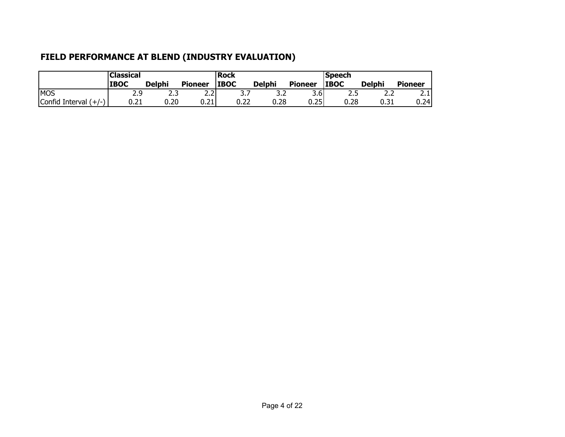## **FIELD PERFORMANCE AT BLEND (INDUSTRY EVALUATION)**

|                         | <b>Classical</b> |               |                             | Rock        |               |                | <b> Speech</b> |               |                |  |  |
|-------------------------|------------------|---------------|-----------------------------|-------------|---------------|----------------|----------------|---------------|----------------|--|--|
|                         | <b>IBOC</b>      | <b>Delphi</b> | <b>Pioneer</b>              | <b>IBOC</b> | <b>Delphi</b> | <b>Pioneer</b> | <b>IBOC</b>    | <b>Delphi</b> | <b>Pioneer</b> |  |  |
| <b>MOS</b>              | 2.9              | ر .ر          | $\sim$ $\sim$ $\sim$<br>2.Z | J. 1        | J.Z           | 3.6            | ر .            | ے ۔           | ~<br>∠.⊥       |  |  |
| Confid Interval $(+/-)$ | 0.21             | 0.20          | 0.21                        | 0.22        | 0.28          | 0.25           | 0.28           | 0.31          | 0.24           |  |  |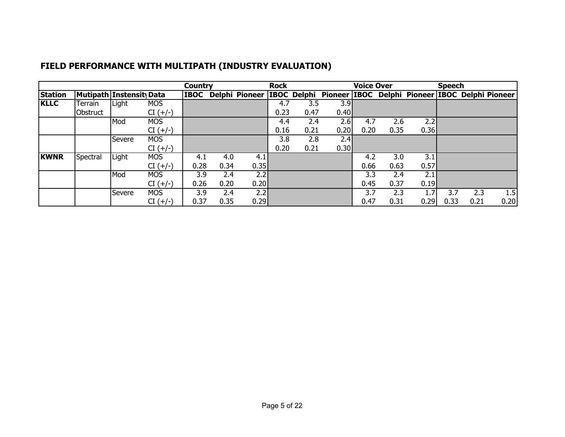|                |          |                                |            | <b>Country</b> |      |      | <b>Rock</b> |      |      | <b>Voice Over</b> |      |                                                                            | <b>Speech</b> |      |      |
|----------------|----------|--------------------------------|------------|----------------|------|------|-------------|------|------|-------------------|------|----------------------------------------------------------------------------|---------------|------|------|
| <b>Station</b> |          | <b>Mutipath Instensit Data</b> |            | <b>IBOC</b>    |      |      |             |      |      |                   |      | Delphi Pioneer IBOC Delphi Pioneer IBOC Delphi Pioneer IBOC Delphi Pioneer |               |      |      |
| <b>KLLC</b>    | Terrain  | Light                          | <b>MOS</b> |                |      |      | 4.7         | 3.5  | 3.9  |                   |      |                                                                            |               |      |      |
|                | Obstruct |                                | $CI (+/-)$ |                |      |      | 0.23        | 0.47 | 0.40 |                   |      |                                                                            |               |      |      |
|                |          | Mod                            | <b>MOS</b> |                |      |      | 4.4         | 2.4  | 2.6  | 4.7               | 2.6  | 2.2                                                                        |               |      |      |
|                |          |                                | $CI (+/-)$ |                |      |      | 0.16        | 0.21 | 0.20 | 0.20              | 0.35 | 0.36                                                                       |               |      |      |
|                |          | Severe                         | <b>MOS</b> |                |      |      | 3.8         | 2.8  | 2.4  |                   |      |                                                                            |               |      |      |
|                |          |                                | $CI (+/-)$ |                |      |      | 0.20        | 0.21 | 0.30 |                   |      |                                                                            |               |      |      |
| <b>KWNR</b>    | Spectral | Light                          | <b>MOS</b> | 4.1            | 4.0  | 4.1  |             |      |      | 4.2               | 3.0  | 3.1                                                                        |               |      |      |
|                |          |                                | $CI (+/-)$ | 0.28           | 0.34 | 0.35 |             |      |      | 0.66              | 0.63 | 0.57                                                                       |               |      |      |
|                |          | Mod                            | <b>MOS</b> | 3.9            | 2.4  | 2.2  |             |      |      | 3.3               | 2.4  | 2.1                                                                        |               |      |      |
|                |          |                                | $CI (+/-)$ | 0.26           | 0.20 | 0.20 |             |      |      | 0.45              | 0.37 | 0.19                                                                       |               |      |      |
|                |          | Severe                         | <b>MOS</b> | 3.9            | 2.4  | 2.2  |             |      |      | 3.7               | 2.3  |                                                                            | 3.7           | 2.3  | 1.5  |
|                |          |                                | $CI (+/-)$ | 0.37           | 0.35 | 0.29 |             |      |      | 0.47              | 0.31 | 0.29                                                                       | 0.33          | 0.21 | 0.20 |

## **FIELD PERFORMANCE WITH MULTIPATH (INDUSTRY EVALUATION)**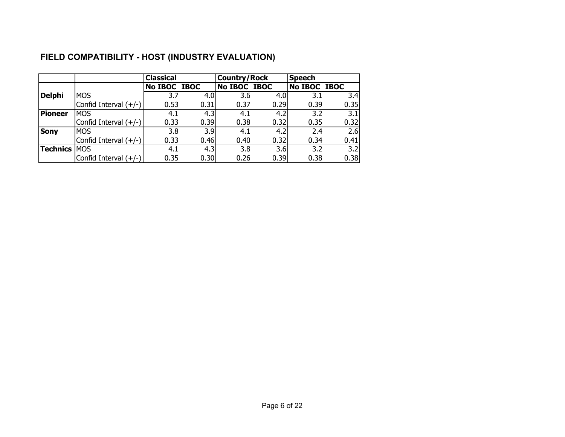|                 |                         | <b>Classical</b> |                  | <b>Country/Rock</b> |      | <b>Speech</b>       |                  |
|-----------------|-------------------------|------------------|------------------|---------------------|------|---------------------|------------------|
|                 |                         | No IBOC IBOC     |                  | No IBOC IBOC        |      | <b>No IBOC IBOC</b> |                  |
| <b>Delphi</b>   | <b>MOS</b>              | 3.7              | 4.0 <sub>l</sub> | 3.6                 | 4.0  | 3.1                 | 3.4              |
|                 | Confid Interval (+/-)   | 0.53             | 0.31             | 0.37                | 0.29 | 0.39                | 0.35             |
| <b>Pioneer</b>  | <b>IMOS</b>             | 4.1              | 4.3              | 4.1                 | 4.2  | 3.2                 | 3.1              |
|                 | Confid Interval (+/-)   | 0.33             | 0.39             | 0.38                | 0.32 | 0.35                | 0.32             |
| <b>Sony</b>     | <b>IMOS</b>             | 3.8              | 3.9              | 4.1                 | 4.2  | 2.4                 | 2.6              |
|                 | Confid Interval $(+/-)$ | 0.33             | 0.46             | 0.40                | 0.32 | 0.34                | 0.41             |
| <b>Technics</b> | <b>IMOS</b>             | 4.1              | 4.3              | 3.8                 | 3.6  | 3.2                 | $\overline{3.2}$ |
|                 | Confid Interval (+/-)   | 0.35             | 0.30             | 0.26                | 0.39 | 0.38                | 0.38             |

## **FIELD COMPATIBILITY - HOST (INDUSTRY EVALUATION)**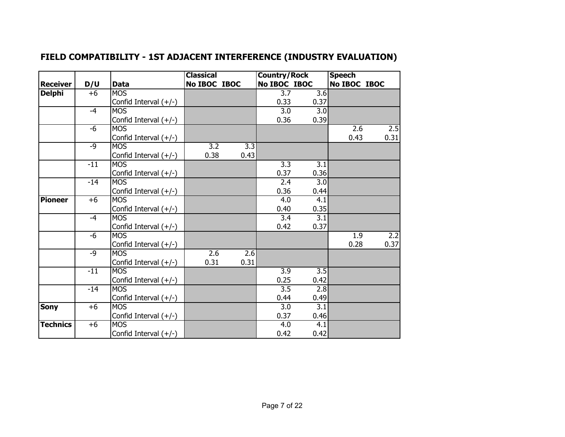| FIELD COMPATIBILITY - 1ST ADJACENT INTERFERENCE (INDUSTRY EVALUATION) |
|-----------------------------------------------------------------------|
|-----------------------------------------------------------------------|

|                 |       |                         | <b>Classical</b> |                  | <b>Country/Rock</b> |                  | <b>Speech</b> |      |
|-----------------|-------|-------------------------|------------------|------------------|---------------------|------------------|---------------|------|
| <b>Receiver</b> | D/U   | <b>Data</b>             | No IBOC IBOC     |                  | No IBOC IBOC        |                  | No IBOC IBOC  |      |
| <b>Delphi</b>   | $+6$  | <b>MOS</b>              |                  |                  | 3.7                 | 3.6              |               |      |
|                 |       | Confid Interval (+/-)   |                  |                  | 0.33                | 0.37             |               |      |
|                 | $-4$  | <b>MOS</b>              |                  |                  | 3.0                 | 3.0              |               |      |
|                 |       | Confid Interval $(+/-)$ |                  |                  | 0.36                | 0.39             |               |      |
|                 | $-6$  | <b>MOS</b>              |                  |                  |                     |                  | 2.6           | 2.5  |
|                 |       | Confid Interval $(+/-)$ |                  |                  |                     |                  | 0.43          | 0.31 |
|                 | $-9$  | <b>MOS</b>              | $\overline{3.2}$ | $\overline{3.3}$ |                     |                  |               |      |
|                 |       | Confid Interval $(+/-)$ | 0.38             | 0.43             |                     |                  |               |      |
|                 | $-11$ | <b>MOS</b>              |                  |                  | $\overline{3.3}$    | $\overline{3.1}$ |               |      |
|                 |       | Confid Interval $(+/-)$ |                  |                  | 0.37                | 0.36             |               |      |
|                 | $-14$ | <b>MOS</b>              |                  |                  | 2.4                 | 3.0              |               |      |
|                 |       | Confid Interval (+/-)   |                  |                  | 0.36                | 0.44             |               |      |
| <b>Pioneer</b>  | $+6$  | <b>MOS</b>              |                  |                  | 4.0                 | 4.1              |               |      |
|                 |       | Confid Interval (+/-)   |                  |                  | 0.40                | 0.35             |               |      |
|                 | $-4$  | <b>MOS</b>              |                  |                  | 3.4                 | $\overline{3.1}$ |               |      |
|                 |       | Confid Interval (+/-)   |                  |                  | 0.42                | 0.37             |               |      |
|                 | $-6$  | <b>MOS</b>              |                  |                  |                     |                  | 1.9           | 2.2  |
|                 |       | Confid Interval $(+/-)$ |                  |                  |                     |                  | 0.28          | 0.37 |
|                 | $-9$  | <b>MOS</b>              | $\overline{2.6}$ | 2.6              |                     |                  |               |      |
|                 |       | Confid Interval (+/-)   | 0.31             | 0.31             |                     |                  |               |      |
|                 | $-11$ | <b>MOS</b>              |                  |                  | $\overline{3.9}$    | $\overline{3.5}$ |               |      |
|                 |       | Confid Interval (+/-)   |                  |                  | 0.25                | 0.42             |               |      |
|                 | $-14$ | <b>MOS</b>              |                  |                  | $\overline{3.5}$    | 2.8              |               |      |
|                 |       | Confid Interval (+/-)   |                  |                  | 0.44                | 0.49             |               |      |
| <b>Sony</b>     | $+6$  | <b>MOS</b>              |                  |                  | $\overline{3.0}$    | $\overline{3.1}$ |               |      |
|                 |       | Confid Interval (+/-)   |                  |                  | 0.37                | 0.46             |               |      |
| <b>Technics</b> | $+6$  | <b>MOS</b>              |                  |                  | 4.0                 | 4.1              |               |      |
|                 |       | Confid Interval (+/-)   |                  |                  | 0.42                | 0.42             |               |      |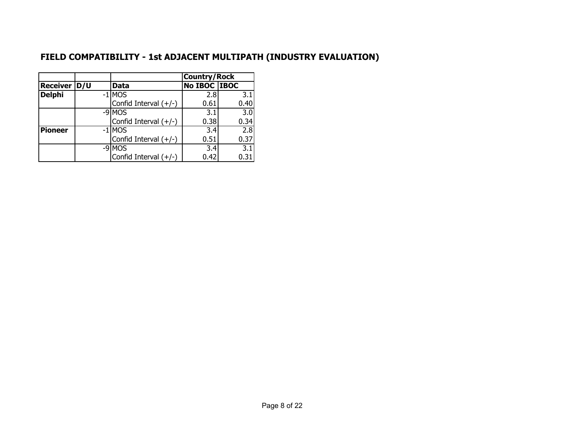## **FIELD COMPATIBILITY - 1st ADJACENT MULTIPATH (INDUSTRY EVALUATION)**

|                |                         | <b>Country/Rock</b> |                  |
|----------------|-------------------------|---------------------|------------------|
| Receiver   D/U | Data                    | No IBOC IBOC        |                  |
| <b>Delphi</b>  | $-1$ MOS                | 2.8                 | 3.1              |
|                | Confid Interval $(+/-)$ | 0.61                | 0.40             |
|                | -9 MOS                  | 3.1                 | 3.0              |
|                | Confid Interval $(+/-)$ | 0.38                | 0.34             |
| <b>Pioneer</b> | $-1$ MOS                | 3.4                 | 2.8              |
|                | Confid Interval $(+/-)$ | 0.51                | 0.37             |
|                | -9 MOS                  | 3.4                 | $\overline{3.1}$ |
|                | Confid Interval $(+/-)$ | 0.42                | 0.31             |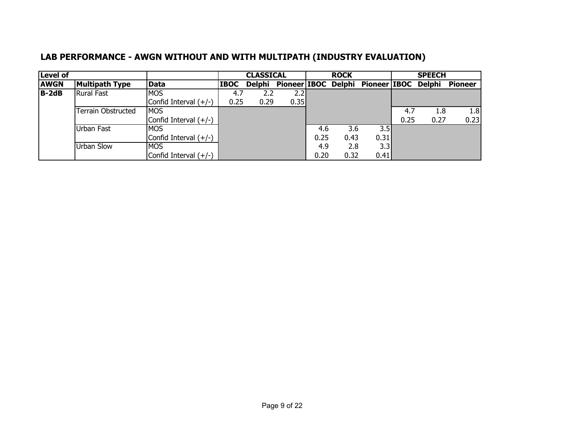| Level of    |                       |                         |             | <b>CLASSICAL</b> |      |      | <b>ROCK</b> |                                                |      | <b>SPEECH</b> |                |
|-------------|-----------------------|-------------------------|-------------|------------------|------|------|-------------|------------------------------------------------|------|---------------|----------------|
| <b>AWGN</b> | <b>Multipath Type</b> | Data                    | <b>IBOC</b> |                  |      |      |             | Delphi Pioneer IBOC Delphi Pioneer IBOC Delphi |      |               | <b>Pioneer</b> |
| $B-2dB$     | <b>Rural Fast</b>     | <b>IMOS</b>             | 4.7         | 2.2              | 2.2  |      |             |                                                |      |               |                |
|             |                       | Confid Interval $(+/-)$ | 0.25        | 0.29             | 0.35 |      |             |                                                |      |               |                |
|             | Terrain Obstructed    | <b>IMOS</b>             |             |                  |      |      |             |                                                | -4.7 | 1.8           | 1.8            |
|             |                       | Confid Interval $(+/-)$ |             |                  |      |      |             |                                                | 0.25 | 0.27          | 0.23           |
|             | Urban Fast            | <b>IMOS</b>             |             |                  |      | 4.6  | 3.6         | 3.5                                            |      |               |                |
|             |                       | Confid Interval $(+/-)$ |             |                  |      | 0.25 | 0.43        | 0.31                                           |      |               |                |
|             | Urban Slow            | <b>MOS</b>              |             |                  |      | 4.9  | 2.8         | 3.3                                            |      |               |                |
|             |                       | Confid Interval $(+/-)$ |             |                  |      | 0.20 | 0.32        | 0.41                                           |      |               |                |

## **LAB PERFORMANCE - AWGN WITHOUT AND WITH MULTIPATH (INDUSTRY EVALUATION)**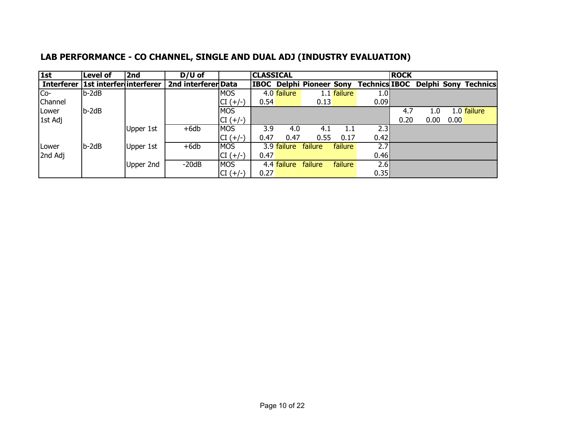| 1st          | <b>Level of</b>                      | 2nd       | $D/U$ of            |            | <b>CLASSICAL</b> |             |                                 |             |                  | <b>ROCK</b> |      |      |                                           |
|--------------|--------------------------------------|-----------|---------------------|------------|------------------|-------------|---------------------------------|-------------|------------------|-------------|------|------|-------------------------------------------|
|              | Interferer   1st interfer interferer |           | 2nd interferer Data |            |                  |             | <b>IBOC Delphi Pioneer Sony</b> |             |                  |             |      |      | <b>Technics IBOC Delphi Sony Technics</b> |
| Co-          | $b-2dB$                              |           |                     | <b>MOS</b> |                  | 4.0 failure |                                 | 1.1 failure | 1.0 <sub>l</sub> |             |      |      |                                           |
| Channel      |                                      |           |                     | $CI (+/-)$ | 0.54             |             | 0.13                            |             | 0.09             |             |      |      |                                           |
| <b>Lower</b> | $b-2dB$                              |           |                     | <b>MOS</b> |                  |             |                                 |             |                  | 4.7         | 1.0  |      | 1.0 failure                               |
| 1st Adj      |                                      |           |                     | $CI (+/-)$ |                  |             |                                 |             |                  | 0.20        | 0.00 | 0.00 |                                           |
|              |                                      | Upper 1st | $+6db$              | <b>MOS</b> | 3.9              | 4.0         | 4.1                             | 1.1         | 2.3              |             |      |      |                                           |
|              |                                      |           |                     | $CI (+/-)$ | 0.47             | 0.47        | 0.55                            | 0.17        | 0.42             |             |      |      |                                           |
| Lower        | $b-2dB$                              | Upper 1st | $+6db$              | <b>MOS</b> |                  | 3.9 failure | failure                         | failure     | 2.7              |             |      |      |                                           |
| 2nd Adj      |                                      |           |                     | $CI (+/-)$ | 0.47             |             |                                 |             | 0.46             |             |      |      |                                           |
|              |                                      | Upper 2nd | $-20dB$             | <b>MOS</b> |                  | 4.4 failure | failure                         | failure     | 2.6              |             |      |      |                                           |
|              |                                      |           |                     | $CI (+/-)$ | 0.27             |             |                                 |             | 0.35             |             |      |      |                                           |

## **LAB PERFORMANCE - CO CHANNEL, SINGLE AND DUAL ADJ (INDUSTRY EVALUATION)**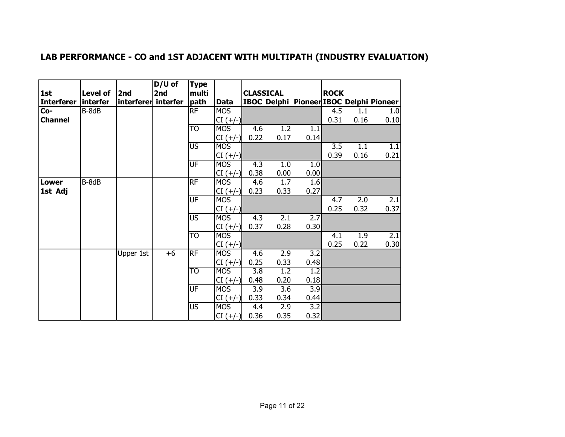|                   |                 |                     | $D/U$ of | <b>Type</b>              |            |                  |      |      |                  |      |                                         |
|-------------------|-----------------|---------------------|----------|--------------------------|------------|------------------|------|------|------------------|------|-----------------------------------------|
| 1st               | Level of        | 2nd                 | 2nd      | multi                    |            | <b>CLASSICAL</b> |      |      | <b>ROCK</b>      |      |                                         |
| <b>Interferer</b> | <i>interfer</i> | interferer interfer |          | path                     | Data       |                  |      |      |                  |      | IBOC Delphi Pioneer IBOC Delphi Pioneer |
| $Co-$             | B-8dB           |                     |          | RF                       | <b>MOS</b> |                  |      |      | 4.5              | 1.1  | 1.0                                     |
| <b>Channel</b>    |                 |                     |          |                          | $CI (+/-)$ |                  |      |      | 0.31             | 0.16 | 0.10                                    |
|                   |                 |                     |          | T <sub>O</sub>           | <b>MOS</b> | 4.6              | 1.2  | 1.1  |                  |      |                                         |
|                   |                 |                     |          |                          | $CI (+/-)$ | 0.22             | 0.17 | 0.14 |                  |      |                                         |
|                   |                 |                     |          | <b>US</b>                | <b>MOS</b> |                  |      |      | $\overline{3.5}$ | 1.1  | 1.1                                     |
|                   |                 |                     |          |                          | $CI (+/-)$ |                  |      |      | 0.39             | 0.16 | 0.21                                    |
|                   |                 |                     |          | UF                       | <b>MOS</b> | 4.3              | 1.0  | 1.0  |                  |      |                                         |
|                   |                 |                     |          |                          | $CI (+/-)$ | 0.38             | 0.00 | 0.00 |                  |      |                                         |
| <b>Lower</b>      | B-8dB           |                     |          | <b>RF</b>                | <b>MOS</b> | 4.6              | 1.7  | 1.6  |                  |      |                                         |
| 1st Adj           |                 |                     |          |                          | $CI (+/-)$ | 0.23             | 0.33 | 0.27 |                  |      |                                         |
|                   |                 |                     |          | <b>UF</b>                | <b>MOS</b> |                  |      |      | 4.7              | 2.0  | 2.1                                     |
|                   |                 |                     |          |                          | $CI (+/-)$ |                  |      |      | 0.25             | 0.32 | 0.37                                    |
|                   |                 |                     |          | $\overline{US}$          | <b>MOS</b> | 4.3              | 2.1  | 2.7  |                  |      |                                         |
|                   |                 |                     |          |                          | $CI (+/-)$ | 0.37             | 0.28 | 0.30 |                  |      |                                         |
|                   |                 |                     |          | TO                       | <b>MOS</b> |                  |      |      | 4.1              | 1.9  | 2.1                                     |
|                   |                 |                     |          |                          | $CI (+/-)$ |                  |      |      | 0.25             | 0.22 | 0.30                                    |
|                   |                 | Upper 1st           | $+6$     | RF                       | <b>MOS</b> | 4.6              | 2.9  | 3.2  |                  |      |                                         |
|                   |                 |                     |          |                          | $CI (+/-)$ | 0.25             | 0.33 | 0.48 |                  |      |                                         |
|                   |                 |                     |          | TO                       | <b>MOS</b> | 3.8              | 1.2  | 1.2  |                  |      |                                         |
|                   |                 |                     |          |                          | $CI (+/-)$ | 0.48             | 0.20 | 0.18 |                  |      |                                         |
|                   |                 |                     |          | UF                       | <b>MOS</b> | 3.9              | 3.6  | 3.9  |                  |      |                                         |
|                   |                 |                     |          |                          | $CI (+/-)$ | 0.33             | 0.34 | 0.44 |                  |      |                                         |
|                   |                 |                     |          | $\overline{\mathsf{US}}$ | <b>MOS</b> | 4.4              | 2.9  | 3.2  |                  |      |                                         |
|                   |                 |                     |          |                          | $CI (+/-)$ | 0.36             | 0.35 | 0.32 |                  |      |                                         |

## **LAB PERFORMANCE - CO and 1ST ADJACENT WITH MULTIPATH (INDUSTRY EVALUATION)**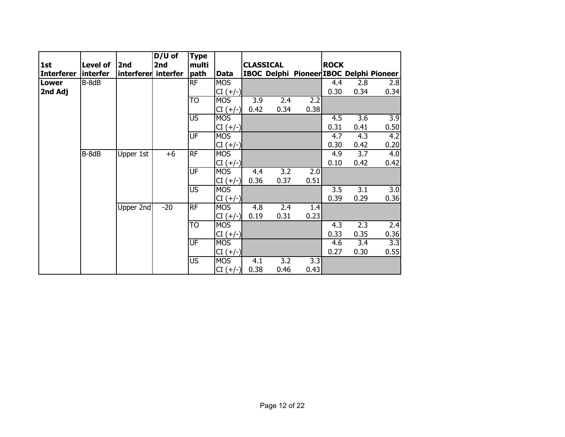| 1st<br><b>Interferer</b> |                                           |                  | $D/U$ of                   | <b>Type</b>                                                                                        |                                                                                                                                                                                                  |                                            |                                            |                                            |                                                  |                                                  |                                         |
|--------------------------|-------------------------------------------|------------------|----------------------------|----------------------------------------------------------------------------------------------------|--------------------------------------------------------------------------------------------------------------------------------------------------------------------------------------------------|--------------------------------------------|--------------------------------------------|--------------------------------------------|--------------------------------------------------|--------------------------------------------------|-----------------------------------------|
|                          | <b>Level of</b><br>2nd<br><i>interfer</i> |                  | 2nd<br>interferer interfer | multi<br>path                                                                                      | <b>Data</b>                                                                                                                                                                                      | <b>CLASSICAL</b>                           |                                            |                                            | <b>ROCK</b>                                      |                                                  | IBOC Delphi Pioneer IBOC Delphi Pioneer |
| <b>Lower</b>             | B-8dB                                     |                  |                            | RF                                                                                                 | <b>MOS</b>                                                                                                                                                                                       |                                            |                                            |                                            | 4.4                                              | 2.8                                              | 2.8                                     |
| 2nd Adj                  |                                           |                  |                            |                                                                                                    | $CI (+/-)$                                                                                                                                                                                       |                                            |                                            |                                            | 0.30                                             | 0.34                                             | 0.34                                    |
|                          |                                           |                  |                            | TO                                                                                                 | <b>MOS</b>                                                                                                                                                                                       | 3.9                                        | 2.4                                        | 2.2                                        |                                                  |                                                  |                                         |
|                          |                                           |                  |                            |                                                                                                    |                                                                                                                                                                                                  |                                            |                                            |                                            |                                                  |                                                  |                                         |
|                          |                                           |                  |                            |                                                                                                    |                                                                                                                                                                                                  |                                            |                                            |                                            |                                                  |                                                  | 3.9                                     |
|                          |                                           |                  |                            |                                                                                                    |                                                                                                                                                                                                  |                                            |                                            |                                            | 0.31                                             | 0.41                                             | 0.50                                    |
|                          |                                           |                  |                            | $\overline{\mathsf{UF}}$                                                                           | <b>MOS</b>                                                                                                                                                                                       |                                            |                                            |                                            | 4.7                                              | 4.3                                              | 4.2                                     |
|                          |                                           |                  |                            |                                                                                                    | $CI (+/-)$                                                                                                                                                                                       |                                            |                                            |                                            | 0.30                                             | 0.42                                             | 0.20                                    |
|                          | B-8dB                                     | Upper 1st        | $+6$                       | <b>RF</b>                                                                                          | <b>MOS</b>                                                                                                                                                                                       |                                            |                                            |                                            | 4.9                                              | 3.7                                              | 4.0                                     |
|                          |                                           |                  |                            |                                                                                                    | $CI (+/-)$                                                                                                                                                                                       |                                            |                                            |                                            | 0.10                                             | 0.42                                             | 0.42                                    |
|                          |                                           |                  |                            | UF                                                                                                 | <b>MOS</b>                                                                                                                                                                                       | 4.4                                        | 3.2                                        | 2.0                                        |                                                  |                                                  |                                         |
|                          |                                           |                  |                            |                                                                                                    |                                                                                                                                                                                                  |                                            |                                            |                                            |                                                  |                                                  |                                         |
|                          |                                           |                  |                            |                                                                                                    |                                                                                                                                                                                                  |                                            |                                            |                                            |                                                  |                                                  | $\overline{3.0}$                        |
|                          |                                           |                  |                            |                                                                                                    |                                                                                                                                                                                                  |                                            |                                            |                                            |                                                  |                                                  | 0.36                                    |
|                          |                                           |                  |                            |                                                                                                    |                                                                                                                                                                                                  |                                            |                                            |                                            |                                                  |                                                  |                                         |
|                          |                                           |                  |                            |                                                                                                    |                                                                                                                                                                                                  |                                            |                                            |                                            |                                                  |                                                  |                                         |
|                          |                                           |                  |                            |                                                                                                    |                                                                                                                                                                                                  |                                            |                                            |                                            |                                                  |                                                  | 2.4                                     |
|                          |                                           |                  |                            |                                                                                                    |                                                                                                                                                                                                  |                                            |                                            |                                            |                                                  |                                                  | 0.36                                    |
|                          |                                           |                  |                            |                                                                                                    |                                                                                                                                                                                                  |                                            |                                            |                                            |                                                  |                                                  | 3.3                                     |
|                          |                                           |                  |                            |                                                                                                    |                                                                                                                                                                                                  |                                            |                                            |                                            |                                                  |                                                  | 0.55                                    |
|                          |                                           |                  |                            |                                                                                                    |                                                                                                                                                                                                  |                                            |                                            |                                            |                                                  |                                                  |                                         |
|                          |                                           | <b>Upper 2nd</b> | $-20$                      | $\overline{\mathsf{US}}$<br>$\overline{\mathsf{US}}$<br>RF<br>TO<br>UF<br>$\overline{\mathsf{US}}$ | $CI (+/-)$<br><b>MOS</b><br>$CI (+/-)$<br>$CI (+/-)$<br><b>MOS</b><br>$CI (+/-)$<br><b>MOS</b><br>$CI (+/-)$<br><b>MOS</b><br>$CI (+/-)$<br><b>MOS</b><br>$CI (+/-)$<br><b>MOS</b><br>$CI (+/-)$ | 0.42<br>0.36<br>4.8<br>0.19<br>4.1<br>0.38 | 0.34<br>0.37<br>2.4<br>0.31<br>3.2<br>0.46 | 0.38<br>0.51<br>1.4<br>0.23<br>3.3<br>0.43 | 4.5<br>3.5<br>0.39<br>4.3<br>0.33<br>4.6<br>0.27 | 3.6<br>3.1<br>0.29<br>2.3<br>0.35<br>3.4<br>0.30 |                                         |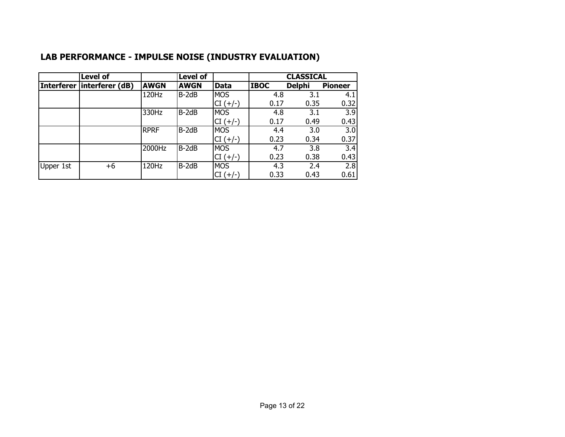|                   | <b>Level of</b> |             | <b>Level of</b> |            |             | <b>CLASSICAL</b> |                  |
|-------------------|-----------------|-------------|-----------------|------------|-------------|------------------|------------------|
| <b>Interferer</b> | interferer (dB) | <b>AWGN</b> | <b>AWGN</b>     | Data       | <b>IBOC</b> | <b>Delphi</b>    | <b>Pioneer</b>   |
|                   |                 | 120Hz       | $B-2dB$         | <b>MOS</b> | 4.8         | 3.1              | 4.1              |
|                   |                 |             |                 | $CI (+/-)$ | 0.17        | 0.35             | 0.32             |
|                   |                 | 330Hz       | $B-2dB$         | <b>MOS</b> | 4.8         | 3.1              | $\overline{3.9}$ |
|                   |                 |             |                 | $CI (+/-)$ | 0.17        | 0.49             | 0.43             |
|                   |                 | <b>RPRF</b> | $B-2dB$         | <b>MOS</b> | 4.4         | 3.0              | $\overline{3.0}$ |
|                   |                 |             |                 | $CI (+/-)$ | 0.23        | 0.34             | 0.37             |
|                   |                 | 2000Hz      | $B-2dB$         | <b>MOS</b> | 4.7         | 3.8              | $\overline{3.4}$ |
|                   |                 |             |                 | $CI (+/-)$ | 0.23        | 0.38             | 0.43             |
| Upper 1st         | $+6$            | 120Hz       | $B-2dB$         | <b>MOS</b> | 4.3         | 2.4              | 2.8              |
|                   |                 |             |                 | $CI (+/-)$ | 0.33        | 0.43             | 0.61             |

## **LAB PERFORMANCE - IMPULSE NOISE (INDUSTRY EVALUATION)**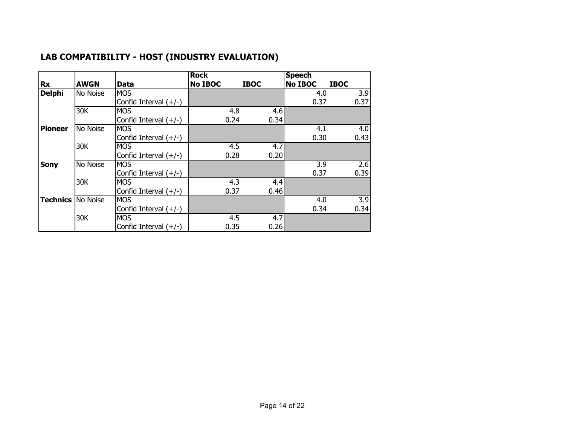|                 |             |                         | <b>Rock</b>    |             | <b>Speech</b>  |             |      |
|-----------------|-------------|-------------------------|----------------|-------------|----------------|-------------|------|
| <b>Rx</b>       | <b>AWGN</b> | Data                    | <b>No IBOC</b> | <b>IBOC</b> | <b>No IBOC</b> | <b>IBOC</b> |      |
| <b>Delphi</b>   | No Noise    | <b>MOS</b>              |                |             | 4.0            |             | 3.9  |
|                 |             | Confid Interval (+/-)   |                |             | 0.37           |             | 0.37 |
|                 | 30K         | <b>MOS</b>              | 4.8            | 4.6         |                |             |      |
|                 |             | Confid Interval $(+/-)$ | 0.24           | 0.34        |                |             |      |
| <b>Pioneer</b>  | No Noise    | <b>MOS</b>              |                |             | 4.1            |             | 4.0  |
|                 |             | Confid Interval $(+/-)$ |                |             | 0.30           |             | 0.43 |
|                 | 30K         | <b>MOS</b>              | 4.5            | 4.7         |                |             |      |
|                 |             | Confid Interval $(+/-)$ | 0.28           | 0.20        |                |             |      |
| <b>Sony</b>     | No Noise    | <b>MOS</b>              |                |             | 3.9            |             | 2.6  |
|                 |             | Confid Interval $(+/-)$ |                |             | 0.37           |             | 0.39 |
|                 | 30K         | <b>MOS</b>              | 4.3            | 4.4         |                |             |      |
|                 |             | Confid Interval $(+/-)$ | 0.37           | 0.46        |                |             |      |
| <b>Technics</b> | No Noise    | <b>MOS</b>              |                |             | 4.0            |             | 3.9  |
|                 |             | Confid Interval $(+/-)$ |                |             | 0.34           |             | 0.34 |
|                 | 30K         | <b>MOS</b>              | 4.5            | 4.7         |                |             |      |
|                 |             | Confid Interval (+/-)   | 0.35           | 0.26        |                |             |      |

## **LAB COMPATIBILITY - HOST (INDUSTRY EVALUATION)**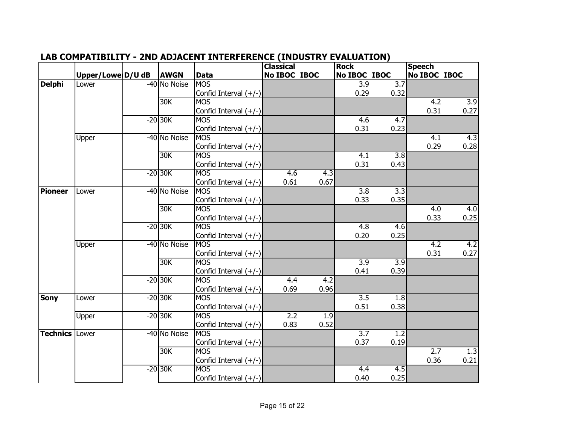|                 |                   |              |                         | <b>Classical</b> |                  | <b>Rock</b>      |                  | <b>Speech</b>    |                  |
|-----------------|-------------------|--------------|-------------------------|------------------|------------------|------------------|------------------|------------------|------------------|
|                 | Upper/Lowe D/U dB | <b>AWGN</b>  | <b>Data</b>             | No IBOC IBOC     |                  | No IBOC IBOC     |                  | No IBOC IBOC     |                  |
| <b>Delphi</b>   | Lower             | -40 No Noise | <b>MOS</b>              |                  |                  | $\overline{3.9}$ | $\overline{3.7}$ |                  |                  |
|                 |                   |              | Confid Interval (+/-)   |                  |                  | 0.29             | 0.32             |                  |                  |
|                 |                   | 30K          | <b>MOS</b>              |                  |                  |                  |                  | $\overline{4.2}$ | 3.9              |
|                 |                   |              | Confid Interval (+/-)   |                  |                  |                  |                  | 0.31             | 0.27             |
|                 |                   | $-20$ 30K    | <b>MOS</b>              |                  |                  | 4.6              | 4.7              |                  |                  |
|                 |                   |              | Confid Interval (+/-)   |                  |                  | 0.31             | 0.23             |                  |                  |
|                 | Upper             | -40 No Noise | <b>MOS</b>              |                  |                  |                  |                  | 4.1              | 4.3              |
|                 |                   |              | Confid Interval (+/-)   |                  |                  |                  |                  | 0.29             | 0.28             |
|                 |                   | 30K          | <b>MOS</b>              |                  |                  | $\overline{4.1}$ | $\overline{3.8}$ |                  |                  |
|                 |                   |              | Confid Interval $(+/-)$ |                  |                  | 0.31             | 0.43             |                  |                  |
|                 |                   | $-20$ 30K    | <b>MOS</b>              | 4.6              | 4.3              |                  |                  |                  |                  |
|                 |                   |              | Confid Interval (+/-)   | 0.61             | 0.67             |                  |                  |                  |                  |
| <b>Pioneer</b>  | Lower             | -40 No Noise | <b>MOS</b>              |                  |                  | $\overline{3.8}$ | 3.3              |                  |                  |
|                 |                   |              | Confid Interval (+/-)   |                  |                  | 0.33             | 0.35             |                  |                  |
|                 |                   | 30K          | <b>MOS</b>              |                  |                  |                  |                  | $\overline{4.0}$ | 4.0              |
|                 |                   |              | Confid Interval (+/-)   |                  |                  |                  |                  | 0.33             | 0.25             |
|                 |                   | $-20$ 30K    | <b>MOS</b>              |                  |                  | 4.8              | 4.6              |                  |                  |
|                 |                   |              | Confid Interval (+/-)   |                  |                  | 0.20             | 0.25             |                  |                  |
|                 | Upper             | -40 No Noise | <b>MOS</b>              |                  |                  |                  |                  | 4.2              | $\overline{4.2}$ |
|                 |                   |              | Confid Interval $(+/-)$ |                  |                  |                  |                  | 0.31             | 0.27             |
|                 |                   | 30K          | <b>MOS</b>              |                  |                  | $\overline{3.9}$ | $\overline{3.9}$ |                  |                  |
|                 |                   |              | Confid Interval (+/-)   |                  |                  | 0.41             | 0.39             |                  |                  |
|                 |                   | $-20$ 30K    | <b>MOS</b>              | 4.4              | $\overline{4.2}$ |                  |                  |                  |                  |
|                 |                   |              | Confid Interval (+/-)   | 0.69             | 0.96             |                  |                  |                  |                  |
| <b>Sony</b>     | Lower             | $-20$ 30K    | <b>MOS</b>              |                  |                  | $\overline{3.5}$ | 1.8              |                  |                  |
|                 |                   |              | Confid Interval (+/-)   |                  |                  | 0.51             | 0.38             |                  |                  |
|                 | Upper             | $-20$ 30K    | <b>MOS</b>              | 2.2              | 1.9              |                  |                  |                  |                  |
|                 |                   |              | Confid Interval (+/-)   | 0.83             | 0.52             |                  |                  |                  |                  |
| <b>Technics</b> | Lower             | -40 No Noise | <b>MOS</b>              |                  |                  | 3.7              | 1.2              |                  |                  |
|                 |                   |              | Confid Interval $(+/-)$ |                  |                  | 0.37             | 0.19             |                  |                  |
|                 |                   | 30K          | <b>MOS</b>              |                  |                  |                  |                  | 2.7              | 1.3              |
|                 |                   |              | Confid Interval (+/-)   |                  |                  |                  |                  | 0.36             | 0.21             |
|                 |                   | $-20$ 30K    | <b>MOS</b>              |                  |                  | 4.4              | 4.5              |                  |                  |
|                 |                   |              | Confid Interval (+/-)   |                  |                  | 0.40             | 0.25             |                  |                  |

#### **LAB COMPATIBILITY - 2ND ADJACENT INTERFERENCE (INDUSTRY EVALUATION)**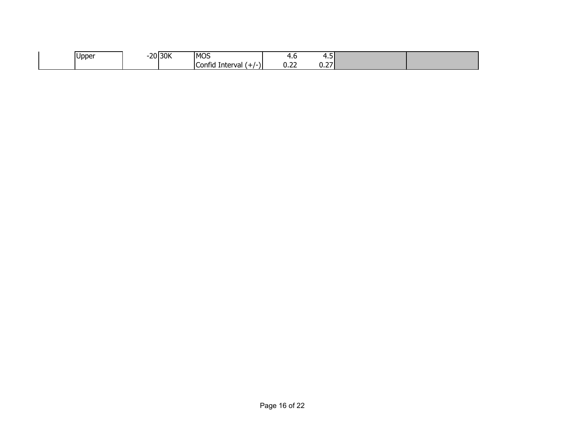| <b>J</b> pper | --<br>້ | שמרו<br>. JUN - | <b>IMOS</b>                     | $\cdot$               | .                            |  |
|---------------|---------|-----------------|---------------------------------|-----------------------|------------------------------|--|
|               |         |                 | -<br>Confic<br>ıterva<br>.<br>ີ | $\sim$ $\sim$<br>0.LL | $\sim$ $\sim$<br><u>v.c.</u> |  |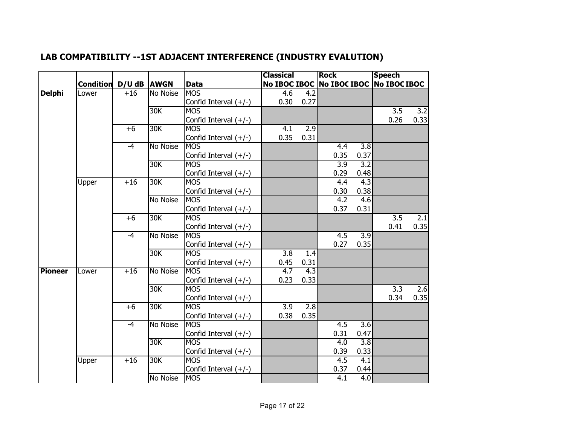|                |                  |             |                 |                         | <b>Classical</b> |                  | <b>Rock</b>                            |                  | <b>Speech</b>    |                  |
|----------------|------------------|-------------|-----------------|-------------------------|------------------|------------------|----------------------------------------|------------------|------------------|------------------|
|                | <b>Condition</b> | D/U dB AWGN |                 | <b>Data</b>             |                  |                  | No IBOC IBOC No IBOC IBOC No IBOC IBOC |                  |                  |                  |
| <b>Delphi</b>  | Lower            | $+16$       | No Noise        | <b>MOS</b>              | 4.6              | 4.2              |                                        |                  |                  |                  |
|                |                  |             |                 | Confid Interval (+/-)   | 0.30             | 0.27             |                                        |                  |                  |                  |
|                |                  |             | 30K             | <b>MOS</b>              |                  |                  |                                        |                  | $\overline{3.5}$ | $\overline{3.2}$ |
|                |                  |             |                 | Confid Interval (+/-)   |                  |                  |                                        |                  | 0.26             | 0.33             |
|                |                  | $+6$        | 30K             | <b>MOS</b>              | 4.1              | $\overline{2.9}$ |                                        |                  |                  |                  |
|                |                  |             |                 | Confid Interval (+/-)   | 0.35             | 0.31             |                                        |                  |                  |                  |
|                |                  | $-4$        | No Noise        | <b>MOS</b>              |                  |                  | 4.4                                    | $\overline{3.8}$ |                  |                  |
|                |                  |             |                 | Confid Interval $(+/-)$ |                  |                  | 0.35                                   | 0.37             |                  |                  |
|                |                  |             | 30K             | <b>MOS</b>              |                  |                  | $\overline{3.9}$                       | $\overline{3.2}$ |                  |                  |
|                |                  |             |                 | Confid Interval (+/-)   |                  |                  | 0.29                                   | 0.48             |                  |                  |
|                | Upper            | $+16$       | 30K             | <b>MOS</b>              |                  |                  | 4.4                                    | $\overline{4.3}$ |                  |                  |
|                |                  |             |                 | Confid Interval $(+/-)$ |                  |                  | 0.30                                   | 0.38             |                  |                  |
|                |                  |             | <b>No Noise</b> | <b>MOS</b>              |                  |                  | $\overline{4.2}$                       | 4.6              |                  |                  |
|                |                  |             |                 | Confid Interval (+/-)   |                  |                  | 0.37                                   | 0.31             |                  |                  |
|                |                  | $+6$        | 30K             | <b>MOS</b>              |                  |                  |                                        |                  | $\overline{3.5}$ | $\overline{2.1}$ |
|                |                  |             |                 | Confid Interval (+/-)   |                  |                  |                                        |                  | 0.41             | 0.35             |
|                |                  | $-4$        | <b>No Noise</b> | <b>MOS</b>              |                  |                  | $\overline{4.5}$                       | $\overline{3.9}$ |                  |                  |
|                |                  |             |                 | Confid Interval (+/-)   |                  |                  | 0.27                                   | 0.35             |                  |                  |
|                |                  |             | 30K             | <b>MOS</b>              | $\overline{3.8}$ | 1.4              |                                        |                  |                  |                  |
|                |                  |             |                 | Confid Interval (+/-)   | 0.45             | 0.31             |                                        |                  |                  |                  |
| <b>Pioneer</b> | Lower            | $+16$       | <b>No Noise</b> | <b>MOS</b>              | 4.7              | 4.3              |                                        |                  |                  |                  |
|                |                  |             |                 | Confid Interval $(+/-)$ | 0.23             | 0.33             |                                        |                  |                  |                  |
|                |                  |             | 30K             | <b>MOS</b>              |                  |                  |                                        |                  | $\overline{3.3}$ | $\overline{2.6}$ |
|                |                  |             |                 | Confid Interval $(+/-)$ |                  |                  |                                        |                  | 0.34             | 0.35             |
|                |                  | $+6$        | 30K             | <b>MOS</b>              | $\overline{3.9}$ | 2.8              |                                        |                  |                  |                  |
|                |                  |             |                 | Confid Interval (+/-)   | 0.38             | 0.35             |                                        |                  |                  |                  |
|                |                  | $-4$        | <b>No Noise</b> | <b>MOS</b>              |                  |                  | $\overline{4.5}$                       | $\overline{3.6}$ |                  |                  |
|                |                  |             |                 | Confid Interval $(+/-)$ |                  |                  | 0.31                                   | 0.47             |                  |                  |
|                |                  |             | 30K             | <b>MOS</b>              |                  |                  | 4.0                                    | $\overline{3.8}$ |                  |                  |
|                |                  |             |                 | Confid Interval $(+/-)$ |                  |                  | 0.39                                   | 0.33             |                  |                  |
|                | Upper            | $+16$       | 30K             | <b>MOS</b>              |                  |                  | $\overline{4.5}$                       | $\overline{4.1}$ |                  |                  |
|                |                  |             |                 | Confid Interval (+/-)   |                  |                  | 0.37                                   | 0.44             |                  |                  |
|                |                  |             | No Noise        | <b>MOS</b>              |                  |                  | $\overline{4.1}$                       | $\overline{4.0}$ |                  |                  |

## **LAB COMPATIBILITY --1ST ADJACENT INTERFERENCE (INDUSTRY EVALUTION)**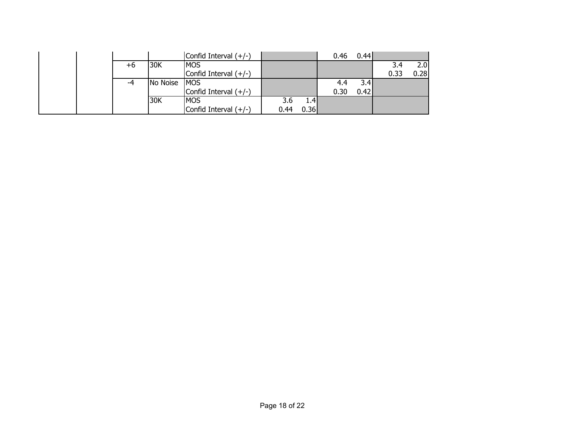|  |    |          | Confid Interval $(+/-)$ |      |                  | 0.46 | 0.44 |      |      |
|--|----|----------|-------------------------|------|------------------|------|------|------|------|
|  | +6 | 30K      | <b>IMOS</b>             |      |                  |      |      | 3.4  | 2.0  |
|  |    |          | Confid Interval $(+/-)$ |      |                  |      |      | 0.33 | 0.28 |
|  |    | No Noise | <b>IMOS</b>             |      |                  | 4.4  | 3.4  |      |      |
|  |    |          | Confid Interval $(+/-)$ |      |                  | 0.30 | 0.42 |      |      |
|  |    | 30K      | <b>MOS</b>              | 3.6  | $1.4 \mathsf{T}$ |      |      |      |      |
|  |    |          | Confid Interval $(+/-)$ | 0.44 | 0.36             |      |      |      |      |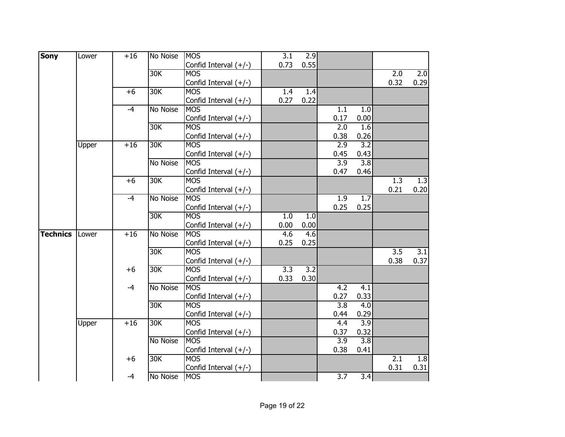| <b>Sony</b>     | Lower | $+16$ | No Noise        | <b>MOS</b>              | $\overline{3.1}$ | 2.9              |                  |                  |                  |      |
|-----------------|-------|-------|-----------------|-------------------------|------------------|------------------|------------------|------------------|------------------|------|
|                 |       |       |                 | Confid Interval (+/-)   | 0.73             | 0.55             |                  |                  |                  |      |
|                 |       |       | 30K             | <b>MOS</b>              |                  |                  |                  |                  | $\overline{2.0}$ | 2.0  |
|                 |       |       |                 | Confid Interval $(+/-)$ |                  |                  |                  |                  | 0.32             | 0.29 |
|                 |       | $+6$  | 30K             | <b>MOS</b>              | 1.4              | 1.4              |                  |                  |                  |      |
|                 |       |       |                 | Confid Interval $(+/-)$ | 0.27             | 0.22             |                  |                  |                  |      |
|                 |       | $-4$  | No Noise        | <b>MOS</b>              |                  |                  | 1.1              | 1.0              |                  |      |
|                 |       |       |                 | Confid Interval (+/-)   |                  |                  | 0.17             | 0.00             |                  |      |
|                 |       |       | 30K             | <b>MOS</b>              |                  |                  | 2.0              | 1.6              |                  |      |
|                 |       |       |                 | Confid Interval (+/-)   |                  |                  | 0.38             | 0.26             |                  |      |
|                 | Upper | $+16$ | 30K             | <b>MOS</b>              |                  |                  | 2.9              | 3.2              |                  |      |
|                 |       |       |                 | Confid Interval (+/-)   |                  |                  | 0.45             | 0.43             |                  |      |
|                 |       |       | No Noise        | <b>MOS</b>              |                  |                  | 3.9              | $\overline{3.8}$ |                  |      |
|                 |       |       |                 | Confid Interval (+/-)   |                  |                  | 0.47             | 0.46             |                  |      |
|                 |       | $+6$  | 30K             | <b>MOS</b>              |                  |                  |                  |                  | $\overline{1.3}$ | 1.3  |
|                 |       |       |                 | Confid Interval (+/-)   |                  |                  |                  |                  | 0.21             | 0.20 |
|                 |       | $-4$  | No Noise        | <b>MOS</b>              |                  |                  | 1.9              | 1.7              |                  |      |
|                 |       |       |                 | Confid Interval (+/-)   |                  |                  | 0.25             | 0.25             |                  |      |
|                 |       |       | 30K             | <b>MOS</b>              | 1.0              | 1.0              |                  |                  |                  |      |
|                 |       |       |                 | Confid Interval (+/-)   | 0.00             | 0.00             |                  |                  |                  |      |
| <b>Technics</b> | Lower | $+16$ | <b>No Noise</b> | <b>MOS</b>              | 4.6              | 4.6              |                  |                  |                  |      |
|                 |       |       |                 | Confid Interval (+/-)   | 0.25             | 0.25             |                  |                  |                  |      |
|                 |       |       | 30K             | <b>MOS</b>              |                  |                  |                  |                  | $\overline{3.5}$ | 3.1  |
|                 |       |       |                 | Confid Interval (+/-)   |                  |                  |                  |                  | 0.38             | 0.37 |
|                 |       | $+6$  | 30K             | <b>MOS</b>              | $\overline{3.3}$ | $\overline{3.2}$ |                  |                  |                  |      |
|                 |       |       |                 | Confid Interval (+/-)   | 0.33             | 0.30             |                  |                  |                  |      |
|                 |       | $-4$  | No Noise        | <b>MOS</b>              |                  |                  | 4.2              | $\overline{4.1}$ |                  |      |
|                 |       |       |                 | Confid Interval (+/-)   |                  |                  | 0.27             | 0.33             |                  |      |
|                 |       |       | 30K             | <b>MOS</b>              |                  |                  | $\overline{3.8}$ | $\overline{4.0}$ |                  |      |
|                 |       |       |                 | Confid Interval (+/-)   |                  |                  | 0.44             | 0.29             |                  |      |
|                 | Upper | $+16$ | 30K             | <b>MOS</b>              |                  |                  | 4.4              | 3.9              |                  |      |
|                 |       |       |                 | Confid Interval (+/-)   |                  |                  | 0.37             | 0.32             |                  |      |
|                 |       |       | No Noise        | <b>MOS</b>              |                  |                  | $\overline{3.9}$ | 3.8              |                  |      |
|                 |       |       |                 | Confid Interval (+/-)   |                  |                  | 0.38             | 0.41             |                  |      |
|                 |       | $+6$  | 30K             | <b>MOS</b>              |                  |                  |                  |                  | 2.1              | 1.8  |
|                 |       |       |                 | Confid Interval (+/-)   |                  |                  |                  |                  | 0.31             | 0.31 |
|                 |       | $-4$  | No Noise        | <b>MOS</b>              |                  |                  | $\overline{3.7}$ | $\overline{3.4}$ |                  |      |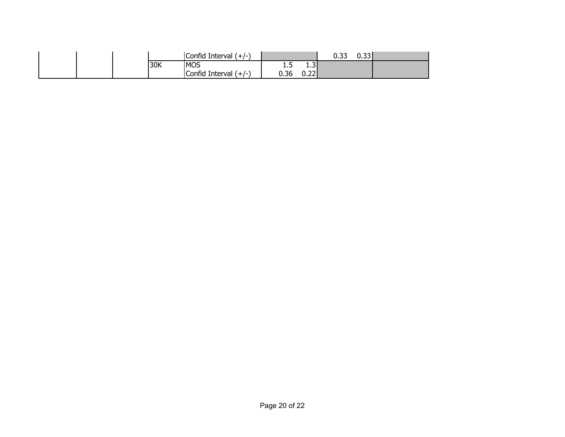|  |     | Interval<br>$\mathsf{Confid}^\circ$<br>$+$ / $-$ |      |                | --<br>ິ | $\sim$<br>ບ.ບບ |  |
|--|-----|--------------------------------------------------|------|----------------|---------|----------------|--|
|  | 30K | <b>MOS</b>                                       | ر. د | . . J          |         |                |  |
|  |     | Confid Interval /<br>′ + / − ′                   | 0.36 | $\sim$<br>0.ZZ |         |                |  |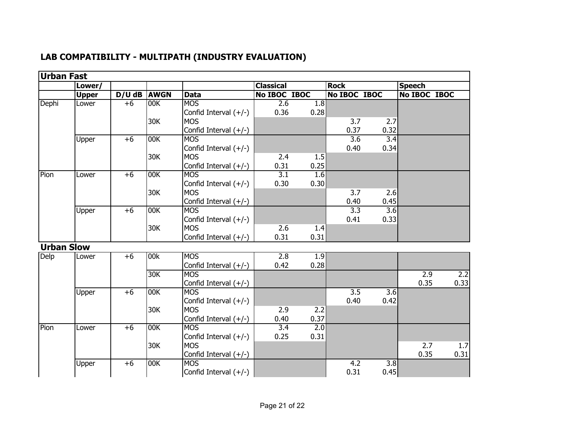| <b>Urban Fast</b> | Lower/       |          |             |                         | <b>Classical</b> |      | <b>Rock</b>      |                  | <b>Speech</b> |      |
|-------------------|--------------|----------|-------------|-------------------------|------------------|------|------------------|------------------|---------------|------|
|                   | <b>Upper</b> | $D/U$ dB | <b>AWGN</b> | <b>Data</b>             | No IBOC IBOC     |      | No IBOC IBOC     |                  | No IBOC IBOC  |      |
| Dephi             | Lower        | $+6$     | 00K         | <b>MOS</b>              | 2.6              | 1.8  |                  |                  |               |      |
|                   |              |          |             | Confid Interval $(+/-)$ | 0.36             | 0.28 |                  |                  |               |      |
|                   |              |          | 30K         | <b>MOS</b>              |                  |      | 3.7              | 2.7              |               |      |
|                   |              |          |             | Confid Interval $(+/-)$ |                  |      | 0.37             | 0.32             |               |      |
|                   | Upper        | $+6$     | 00K         | <b>MOS</b>              |                  |      | $\overline{3.6}$ | 3.4              |               |      |
|                   |              |          |             | Confid Interval $(+/-)$ |                  |      | 0.40             | 0.34             |               |      |
|                   |              |          | 30K         | <b>MOS</b>              | 2.4              | 1.5  |                  |                  |               |      |
|                   |              |          |             | Confid Interval (+/-)   | 0.31             | 0.25 |                  |                  |               |      |
| Pion              | Lower        | $+6$     | 00K         | <b>MOS</b>              | $\overline{3.1}$ | 1.6  |                  |                  |               |      |
|                   |              |          |             | Confid Interval $(+/-)$ | 0.30             | 0.30 |                  |                  |               |      |
|                   |              |          | 30K         | <b>MOS</b>              |                  |      | 3.7              | 2.6              |               |      |
|                   |              |          |             | Confid Interval (+/-)   |                  |      | 0.40             | 0.45             |               |      |
|                   | Upper        | $+6$     | 00K         | <b>MOS</b>              |                  |      | 3.3              | 3.6              |               |      |
|                   |              |          |             | Confid Interval $(+/-)$ |                  |      | 0.41             | 0.33             |               |      |
|                   |              |          | 30K         | <b>MOS</b>              | 2.6              | 1.4  |                  |                  |               |      |
|                   |              |          |             | Confid Interval $(+/-)$ | 0.31             | 0.31 |                  |                  |               |      |
| <b>Urban Slow</b> |              |          |             |                         |                  |      |                  |                  |               |      |
| Delp              | Lower        | $+6$     | 00k         | <b>MOS</b>              | 2.8              | 1.9  |                  |                  |               |      |
|                   |              |          |             | Confid Interval (+/-)   | 0.42             | 0.28 |                  |                  |               |      |
|                   |              |          | 30K         | <b>MOS</b>              |                  |      |                  |                  | 2.9           | 2.2  |
|                   |              |          |             | Confid Interval $(+/-)$ |                  |      |                  |                  | 0.35          | 0.33 |
|                   | Upper        | $+6$     | 00K         | <b>MOS</b>              |                  |      | $\overline{3.5}$ | $\overline{3.6}$ |               |      |
|                   |              |          |             | Confid Interval (+/-)   |                  |      | 0.40             | 0.42             |               |      |
|                   |              |          | 30K         | <b>MOS</b>              | 2.9              | 2.2  |                  |                  |               |      |
|                   |              |          |             | Confid Interval $(+/-)$ | 0.40             | 0.37 |                  |                  |               |      |
| Pion              | Lower        | $+6$     | 00K         | <b>MOS</b>              | 3.4              | 2.0  |                  |                  |               |      |
|                   |              |          |             | Confid Interval $(+/-)$ | 0.25             | 0.31 |                  |                  |               |      |
|                   |              |          | 30K         | <b>MOS</b>              |                  |      |                  |                  | 2.7           | 1.7  |
|                   |              |          |             | Confid Interval $(+/-)$ |                  |      |                  |                  | 0.35          | 0.31 |
|                   | Upper        | $+6$     | 00K         | <b>MOS</b>              |                  |      | 4.2              | 3.8              |               |      |
|                   |              |          |             | Confid Interval (+/-)   |                  |      | 0.31             | 0.45             |               |      |

## **LAB COMPATIBILITY - MULTIPATH (INDUSTRY EVALUATION)**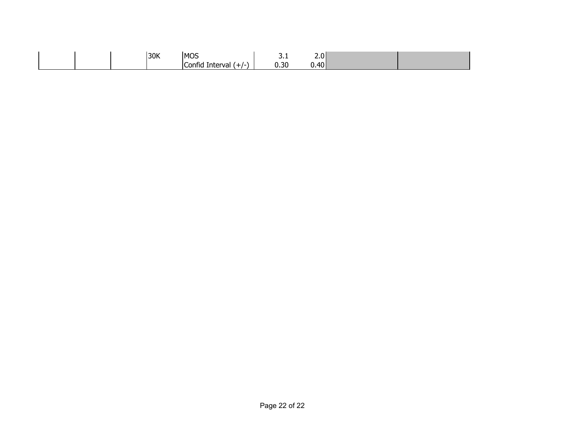|  | 30K |                                        | - -       | <u>.</u>         |  |
|--|-----|----------------------------------------|-----------|------------------|--|
|  |     | -<br>Interval<br>`∩ntı<br>- - -<br>val | ີ<br>บ.วบ | ⊿∩ I<br>עד<br>v. |  |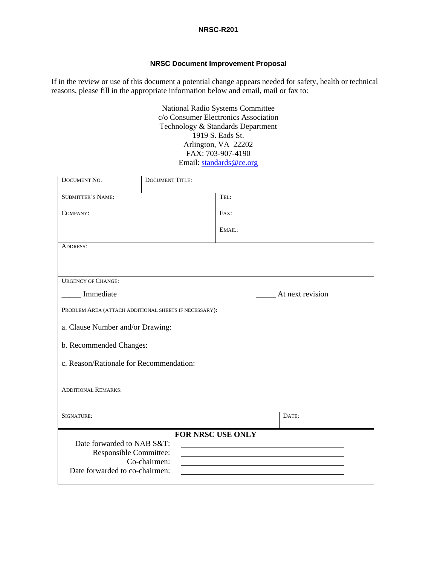#### **NRSC-R201**

#### **NRSC Document Improvement Proposal**

If in the review or use of this document a potential change appears needed for safety, health or technical reasons, please fill in the appropriate information below and email, mail or fax to:

> National Radio Systems Committee c/o Consumer Electronics Association Technology & Standards Department 1919 S. Eads St. Arlington, VA 22202 FAX: 703-907-4190 Email: standards@ce.org

| DOCUMENT NO.                                                                                          | <b>DOCUMENT TITLE:</b> |                  |  |
|-------------------------------------------------------------------------------------------------------|------------------------|------------------|--|
| <b>SUBMITTER'S NAME:</b>                                                                              |                        | TEL:             |  |
| COMPANY:                                                                                              |                        | FAX:             |  |
|                                                                                                       |                        | EMAIL:           |  |
| <b>ADDRESS:</b>                                                                                       |                        |                  |  |
|                                                                                                       |                        |                  |  |
| <b>URGENCY OF CHANGE:</b>                                                                             |                        |                  |  |
| Immediate                                                                                             |                        | At next revision |  |
| PROBLEM AREA (ATTACH ADDITIONAL SHEETS IF NECESSARY):                                                 |                        |                  |  |
| a. Clause Number and/or Drawing:                                                                      |                        |                  |  |
| b. Recommended Changes:                                                                               |                        |                  |  |
| c. Reason/Rationale for Recommendation:                                                               |                        |                  |  |
|                                                                                                       |                        |                  |  |
| <b>ADDITIONAL REMARKS:</b>                                                                            |                        |                  |  |
| SIGNATURE:                                                                                            |                        | DATE:            |  |
| FOR NRSC USE ONLY                                                                                     |                        |                  |  |
| Date forwarded to NAB S&T:                                                                            |                        |                  |  |
| Responsible Committee:<br><u> 1980 - Johann Stoff, Amerikaansk politiker († 1908)</u><br>Co-chairmen: |                        |                  |  |
| Date forwarded to co-chairmen:                                                                        |                        |                  |  |